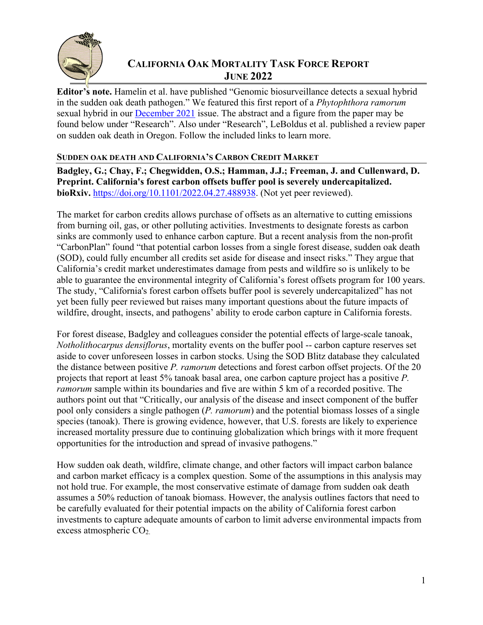

# **CALIFORNIA OAK MORTALITY TASK FORCE REPORT JUNE 2022**

**Editor's note.** Hamelin et al. have published "Genomic biosurveillance detects a sexual hybrid in the sudden oak death pathogen." We featured this first report of a *Phytophthora ramorum* sexual hybrid in our [December 2021](https://www.suddenoakdeath.org/wp-content/uploads/2021/12/COMTF-Report-December_11.30.21_final.pdf) issue. The abstract and a figure from the paper may be found below under "Research". Also under "Research", LeBoldus et al. published a review paper on sudden oak death in Oregon. Follow the included links to learn more.

## **SUDDEN OAK DEATH AND CALIFORNIA'S CARBON CREDIT MARKET**

**Badgley, G.; Chay, F.; Chegwidden, O.S.; Hamman, J.J.; Freeman, J. and Cullenward, D. Preprint. California's forest carbon offsets buffer pool is severely undercapitalized. bioRxiv.** [https://doi.org/10.1101/2022.04.27.488938.](https://doi.org/10.1101/2022.04.27.488938) (Not yet peer reviewed).

The market for carbon credits allows purchase of offsets as an alternative to cutting emissions from burning oil, gas, or other polluting activities. Investments to designate forests as carbon sinks are commonly used to enhance carbon capture. But a recent analysis from the non-profit "CarbonPlan" found "that potential carbon losses from a single forest disease, sudden oak death (SOD), could fully encumber all credits set aside for disease and insect risks." They argue that California's credit market underestimates damage from pests and wildfire so is unlikely to be able to guarantee the environmental integrity of California's forest offsets program for 100 years. The study, "California's forest carbon offsets buffer pool is severely undercapitalized" has not yet been fully peer reviewed but raises many important questions about the future impacts of wildfire, drought, insects, and pathogens' ability to erode carbon capture in California forests.

For forest disease, Badgley and colleagues consider the potential effects of large-scale tanoak, *Notholithocarpus densiflorus*, mortality events on the buffer pool -- carbon capture reserves set aside to cover unforeseen losses in carbon stocks. Using the SOD Blitz database they calculated the distance between positive *P. ramorum* detections and forest carbon offset projects. Of the 20 projects that report at least 5% tanoak basal area, one carbon capture project has a positive *P. ramorum* sample within its boundaries and five are within 5 km of a recorded positive. The authors point out that "Critically, our analysis of the disease and insect component of the buffer pool only considers a single pathogen (*P. ramorum*) and the potential biomass losses of a single species (tanoak). There is growing evidence, however, that U.S. forests are likely to experience increased mortality pressure due to continuing globalization which brings with it more frequent opportunities for the introduction and spread of invasive pathogens."

How sudden oak death, wildfire, climate change, and other factors will impact carbon balance and carbon market efficacy is a complex question. Some of the assumptions in this analysis may not hold true. For example, the most conservative estimate of damage from sudden oak death assumes a 50% reduction of tanoak biomass. However, the analysis outlines factors that need to be carefully evaluated for their potential impacts on the ability of California forest carbon investments to capture adequate amounts of carbon to limit adverse environmental impacts from excess atmospheric CO<sub>2.</sub>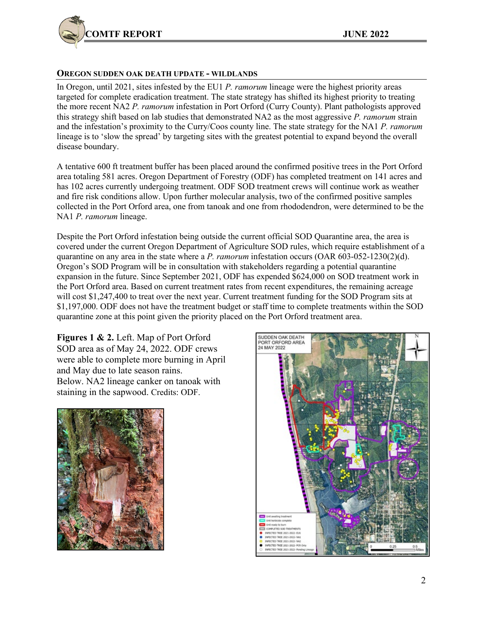

#### **OREGON SUDDEN OAK DEATH UPDATE - WILDLANDS**

In Oregon, until 2021, sites infested by the EU1 *P. ramorum* lineage were the highest priority areas targeted for complete eradication treatment. The state strategy has shifted its highest priority to treating the more recent NA2 *P. ramorum* infestation in Port Orford (Curry County). Plant pathologists approved this strategy shift based on lab studies that demonstrated NA2 as the most aggressive *P. ramorum* strain and the infestation's proximity to the Curry/Coos county line. The state strategy for the NA1 *P. ramorum* lineage is to 'slow the spread' by targeting sites with the greatest potential to expand beyond the overall disease boundary.

A tentative 600 ft treatment buffer has been placed around the confirmed positive trees in the Port Orford area totaling 581 acres. Oregon Department of Forestry (ODF) has completed treatment on 141 acres and has 102 acres currently undergoing treatment. ODF SOD treatment crews will continue work as weather and fire risk conditions allow. Upon further molecular analysis, two of the confirmed positive samples collected in the Port Orford area, one from tanoak and one from rhododendron, were determined to be the NA1 *P. ramorum* lineage.

Despite the Port Orford infestation being outside the current official SOD Quarantine area, the area is covered under the current Oregon Department of Agriculture SOD rules, which require establishment of a quarantine on any area in the state where a *P. ramorum* infestation occurs (OAR 603-052-1230(2)(d). Oregon's SOD Program will be in consultation with stakeholders regarding a potential quarantine expansion in the future. Since September 2021, ODF has expended \$624,000 on SOD treatment work in the Port Orford area. Based on current treatment rates from recent expenditures, the remaining acreage will cost \$1,247,400 to treat over the next year. Current treatment funding for the SOD Program sits at \$1,197,000. ODF does not have the treatment budget or staff time to complete treatments within the SOD quarantine zone at this point given the priority placed on the Port Orford treatment area.

**Figures 1 & 2.** Left. Map of Port Orford SOD area as of May 24, 2022. ODF crews were able to complete more burning in April and May due to late season rains. Below. NA2 lineage canker on tanoak with staining in the sapwood. Credits: ODF.



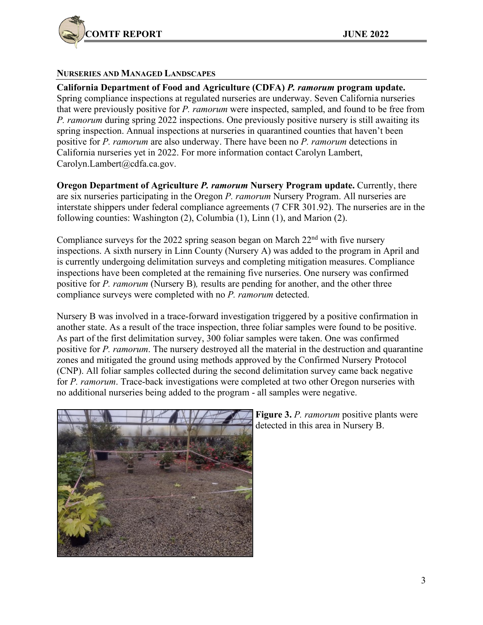

#### **NURSERIES AND MANAGED LANDSCAPES**

**California Department of Food and Agriculture (CDFA)** *P. ramorum* **program update.**  Spring compliance inspections at regulated nurseries are underway. Seven California nurseries that were previously positive for *P. ramorum* were inspected, sampled, and found to be free from *P. ramorum* during spring 2022 inspections. One previously positive nursery is still awaiting its spring inspection. Annual inspections at nurseries in quarantined counties that haven't been positive for *P. ramorum* are also underway. There have been no *P. ramorum* detections in California nurseries yet in 2022. For more information contact Carolyn Lambert, Carolyn.Lambert@cdfa.ca.gov.

**Oregon Department of Agriculture** *P. ramorum* **Nursery Program update.** Currently, there are six nurseries participating in the Oregon *P. ramorum* Nursery Program. All nurseries are interstate shippers under federal compliance agreements (7 CFR 301.92). The nurseries are in the following counties: Washington (2), Columbia (1), Linn (1), and Marion (2).

Compliance surveys for the 2022 spring season began on March  $22<sup>nd</sup>$  with five nursery inspections. A sixth nursery in Linn County (Nursery A) was added to the program in April and is currently undergoing delimitation surveys and completing mitigation measures. Compliance inspections have been completed at the remaining five nurseries. One nursery was confirmed positive for *P. ramorum* (Nursery B)*,* results are pending for another, and the other three compliance surveys were completed with no *P. ramorum* detected.

Nursery B was involved in a trace-forward investigation triggered by a positive confirmation in another state. As a result of the trace inspection, three foliar samples were found to be positive. As part of the first delimitation survey, 300 foliar samples were taken. One was confirmed positive for *P. ramorum*. The nursery destroyed all the material in the destruction and quarantine zones and mitigated the ground using methods approved by the Confirmed Nursery Protocol (CNP). All foliar samples collected during the second delimitation survey came back negative for *P. ramorum*. Trace-back investigations were completed at two other Oregon nurseries with no additional nurseries being added to the program - all samples were negative.



**Figure 3.** *P. ramorum* positive plants were detected in this area in Nursery B.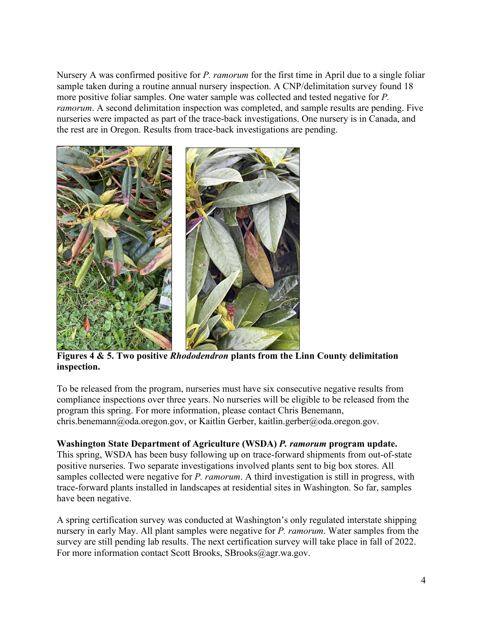Nursery A was confirmed positive for *P. ramorum* for the first time in April due to a single foliar sample taken during a routine annual nursery inspection. A CNP/delimitation survey found 18 more positive foliar samples. One water sample was collected and tested negative for *P. ramorum*. A second delimitation inspection was completed, and sample results are pending. Five nurseries were impacted as part of the trace-back investigations. One nursery is in Canada, and the rest are in Oregon. Results from trace-back investigations are pending.



**Figures 4 & 5. Two positive** *Rhododendron* **plants from the Linn County delimitation inspection.**

To be released from the program, nurseries must have six consecutive negative results from compliance inspections over three years. No nurseries will be eligible to be released from the program this spring. For more information, please contact Chris Benemann, chris.benemann@oda.oregon.gov, or Kaitlin Gerber, kaitlin.gerber@oda.oregon.gov.

#### **Washington State Department of Agriculture (WSDA)** *P. ramorum* **program update.**

This spring, WSDA has been busy following up on trace-forward shipments from out-of-state positive nurseries. Two separate investigations involved plants sent to big box stores. All samples collected were negative for *P. ramorum*. A third investigation is still in progress, with trace-forward plants installed in landscapes at residential sites in Washington. So far, samples have been negative.

A spring certification survey was conducted at Washington's only regulated interstate shipping nursery in early May. All plant samples were negative for *P. ramorum*. Water samples from the survey are still pending lab results. The next certification survey will take place in fall of 2022. For more information contact Scott Brooks, SBrooks@agr.wa.gov.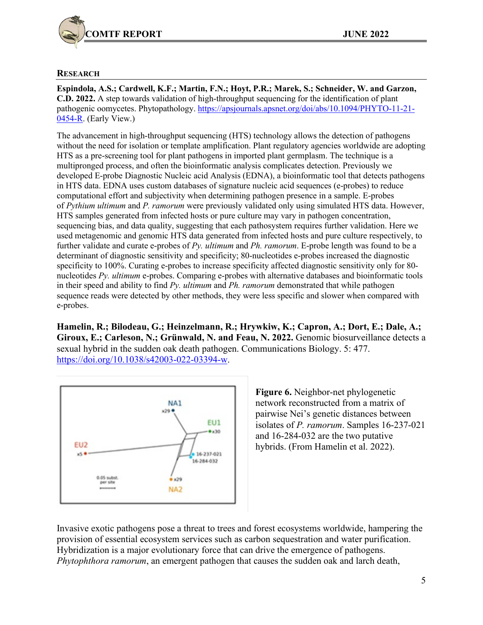

#### **RESEARCH**

**Espindola, A.S.; Cardwell, K.F.; Martin, F.N.; Hoyt, P.R.; Marek, S.; Schneider, W. and Garzon, C.D. 2022.** A step towards validation of high-throughput sequencing for the identification of plant pathogenic oomycetes. Phytopathology. [https://apsjournals.apsnet.org/doi/abs/10.1094/PHYTO](https://apsjournals.apsnet.org/doi/abs/10.1094/PHYTO-11-21-0454-R)-11-21- [0454](https://apsjournals.apsnet.org/doi/abs/10.1094/PHYTO-11-21-0454-R)-R. (Early View.)

The advancement in high-throughput sequencing (HTS) technology allows the detection of pathogens without the need for isolation or template amplification. Plant regulatory agencies worldwide are adopting HTS as a pre-screening tool for plant pathogens in imported plant germplasm. The technique is a multipronged process, and often the bioinformatic analysis complicates detection. Previously we developed E-probe Diagnostic Nucleic acid Analysis (EDNA), a bioinformatic tool that detects pathogens in HTS data. EDNA uses custom databases of signature nucleic acid sequences (e-probes) to reduce computational effort and subjectivity when determining pathogen presence in a sample. E-probes of *Pythium ultimum* and *P. ramorum* were previously validated only using simulated HTS data. However, HTS samples generated from infected hosts or pure culture may vary in pathogen concentration, sequencing bias, and data quality, suggesting that each pathosystem requires further validation. Here we used metagenomic and genomic HTS data generated from infected hosts and pure culture respectively, to further validate and curate e-probes of *Py. ultimum* and *Ph. ramorum*. E-probe length was found to be a determinant of diagnostic sensitivity and specificity; 80-nucleotides e-probes increased the diagnostic specificity to 100%. Curating e-probes to increase specificity affected diagnostic sensitivity only for 80 nucleotides *Py. ultimum* e-probes. Comparing e-probes with alternative databases and bioinformatic tools in their speed and ability to find *Py. ultimum* and *Ph. ramorum* demonstrated that while pathogen sequence reads were detected by other methods, they were less specific and slower when compared with e-probes.

**Hamelin, R.; Bilodeau, G.; Heinzelmann, R.; Hrywkiw, K.; Capron, A.; Dort, E.; Dale, A.; Giroux, E.; Carleson, N.; Grünwald, N. and Feau, N. 2022.** Genomic biosurveillance detects a sexual hybrid in the sudden oak death pathogen. Communications Biology. 5: 477. [https://doi.org/10.1038/s42003-022-03394-w.](https://doi.org/10.1038/s42003-022-03394-w)



**Figure 6.** Neighbor-net phylogenetic network reconstructed from a matrix of pairwise Nei's genetic distances between isolates of *P. ramorum*. Samples 16-237-021 and 16-284-032 are the two putative hybrids. (From Hamelin et al. 2022).

Invasive exotic pathogens pose a threat to trees and forest ecosystems worldwide, hampering the provision of essential ecosystem services such as carbon sequestration and water purification. Hybridization is a major evolutionary force that can drive the emergence of pathogens. *Phytophthora ramorum*, an emergent pathogen that causes the sudden oak and larch death,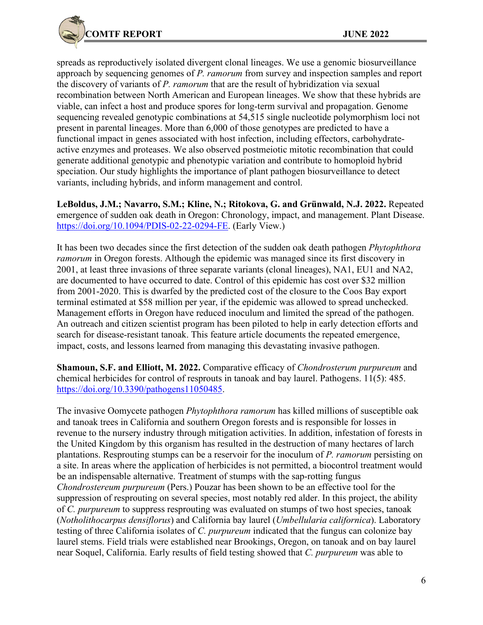

spreads as reproductively isolated divergent clonal lineages. We use a genomic biosurveillance approach by sequencing genomes of *P. ramorum* from survey and inspection samples and report the discovery of variants of *P. ramorum* that are the result of hybridization via sexual recombination between North American and European lineages. We show that these hybrids are viable, can infect a host and produce spores for long-term survival and propagation. Genome sequencing revealed genotypic combinations at 54,515 single nucleotide polymorphism loci not present in parental lineages. More than 6,000 of those genotypes are predicted to have a functional impact in genes associated with host infection, including effectors, carbohydrateactive enzymes and proteases. We also observed postmeiotic mitotic recombination that could generate additional genotypic and phenotypic variation and contribute to homoploid hybrid speciation. Our study highlights the importance of plant pathogen biosurveillance to detect variants, including hybrids, and inform management and control.

**LeBoldus, J.M.; Navarro, S.M.; Kline, N.; Ritokova, G. and Grünwald, N.J. 2022.** Repeated emergence of sudden oak death in Oregon: Chronology, impact, and management. Plant Disease. [https://doi.org/10.1094/PDIS-02-22-0294-FE.](https://doi.org/10.1094/PDIS-02-22-0294-FE) (Early View.)

It has been two decades since the first detection of the sudden oak death pathogen *Phytophthora ramorum* in Oregon forests. Although the epidemic was managed since its first discovery in 2001, at least three invasions of three separate variants (clonal lineages), NA1, EU1 and NA2, are documented to have occurred to date. Control of this epidemic has cost over \$32 million from 2001-2020. This is dwarfed by the predicted cost of the closure to the Coos Bay export terminal estimated at \$58 million per year, if the epidemic was allowed to spread unchecked. Management efforts in Oregon have reduced inoculum and limited the spread of the pathogen. An outreach and citizen scientist program has been piloted to help in early detection efforts and search for disease-resistant tanoak. This feature article documents the repeated emergence, impact, costs, and lessons learned from managing this devastating invasive pathogen.

**Shamoun, S.F. and Elliott, M. 2022.** Comparative efficacy of *Chondrosterum purpureum* and chemical herbicides for control of resprouts in tanoak and bay laurel. Pathogens. 11(5): 485. <https://doi.org/10.3390/pathogens11050485>.

The invasive Oomycete pathogen *Phytophthora ramorum* has killed millions of susceptible oak and tanoak trees in California and southern Oregon forests and is responsible for losses in revenue to the nursery industry through mitigation activities. In addition, infestation of forests in the United Kingdom by this organism has resulted in the destruction of many hectares of larch plantations. Resprouting stumps can be a reservoir for the inoculum of *P. ramorum* persisting on a site. In areas where the application of herbicides is not permitted, a biocontrol treatment would be an indispensable alternative. Treatment of stumps with the sap-rotting fungus *Chondrostereum purpureum* (Pers.) Pouzar has been shown to be an effective tool for the suppression of resprouting on several species, most notably red alder. In this project, the ability of *C. purpureum* to suppress resprouting was evaluated on stumps of two host species, tanoak (*Notholithocarpus densiflorus*) and California bay laurel (*Umbellularia californica*). Laboratory testing of three California isolates of *C. purpureum* indicated that the fungus can colonize bay laurel stems. Field trials were established near Brookings, Oregon, on tanoak and on bay laurel near Soquel, California. Early results of field testing showed that *C. purpureum* was able to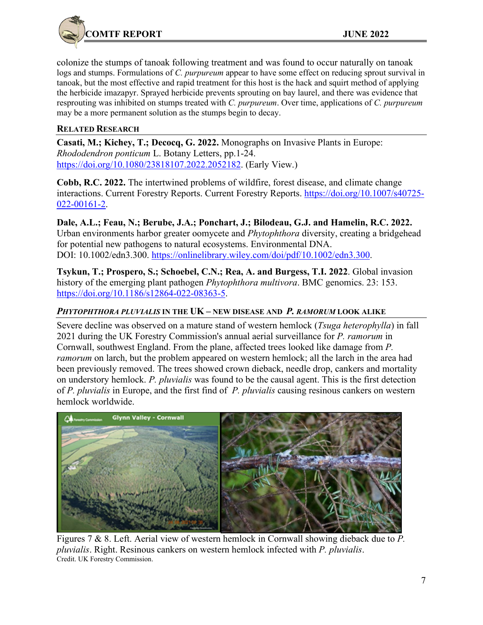

colonize the stumps of tanoak following treatment and was found to occur naturally on tanoak logs and stumps. Formulations of *C. purpureum* appear to have some effect on reducing sprout survival in tanoak, but the most effective and rapid treatment for this host is the hack and squirt method of applying the herbicide imazapyr. Sprayed herbicide prevents sprouting on bay laurel, and there was evidence that resprouting was inhibited on stumps treated with *C. purpureum*. Over time, applications of *C. purpureum* may be a more permanent solution as the stumps begin to decay.

#### **RELATED RESEARCH**

**Casati, M.; Kichey, T.; Decocq, G. 2022.** Monographs on Invasive Plants in Europe: *Rhododendron ponticum* L. Botany Letters, pp.1-24. htt[ps://doi.org/10.1080/23818107.2022.2052182](https://doi.org/10.1080/23818107.2022.2052182). (Early View.)

**Cobb, R.C. 2022.** The intertwined problems of wildfire, forest disease, and climate change interactions. Current Forestry Reports. Current Forestry Reports. [https://doi.org/10.1007/s40725](https://doi.org/10.1007/s40725-022-00161-2)- [022-00161-2.](https://doi.org/10.1007/s40725-022-00161-2)

**Dale, A.L.; Feau, N.; Berube, J.A.; Ponchart, J.; Bilodeau, G.J. and Hamelin, R.C. 2022.** Urban environments harbor greater oomycete and *Phytophthora* diversity, creating a bridgehead for potential new pathogens to natural ecosystems. Environmental DNA. DOI: 10.1002/edn3.300. [https://onlinelibrary.wiley.com/doi/pdf/10.1002/edn3.300.](https://onlinelibrary.wiley.com/doi/pdf/10.1002/edn3.300)

**Tsykun, T.; Prospero, S.; Schoebel, C.N.; Rea, A. and Burgess, T.I. 2022**. Global invasion history of the emerging plant pathogen *Phytophthora multivora*. BMC genomics. 23: 153. [https://doi.org/10.1186/s12864-022-08363-](https://doi.org/10.1186/s12864-022-08363-5)5.

### *PHYTOPHTHORA PLUVIALIS* **IN THE UK – NEW DISEASE AND** *P. RAMORUM* **LOOK ALIKE**

Severe decline was observed on a mature stand of western hemlock (*Tsuga heterophylla*) in fall 2021 during the UK Forestry Commission's annual aerial surveillance for *P. ramorum* in Cornwall, southwest England. From the plane, affected trees looked like damage from *P. ramorum* on larch, but the problem appeared on western hemlock; all the larch in the area had been previously removed. The trees showed crown dieback, needle drop, cankers and mortality on understory hemlock. *P. pluvialis* was found to be the causal agent. This is the first detection of *P. pluvialis* in Europe, and the first find of *P. pluvialis* causing resinous cankers on western hemlock worldwide.



Figures 7 & 8. Left. Aerial view of western hemlock in Cornwall showing dieback due to *P. pluvialis*. Right. Resinous cankers on western hemlock infected with *P. pluvialis*. Credit. UK Forestry Commission.